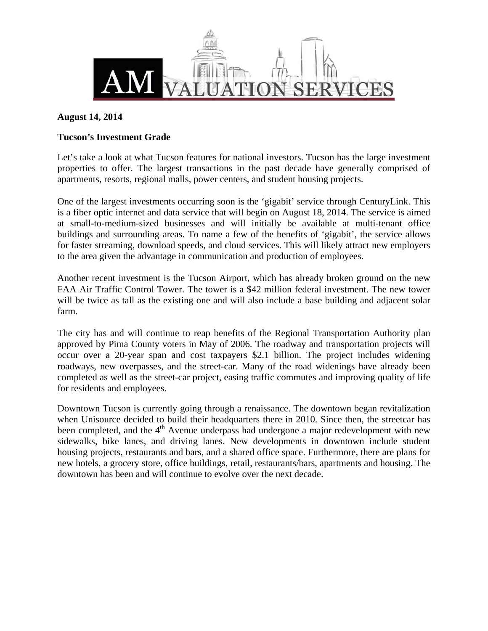

## **August 14, 2014**

### **Tucson's Investment Grade**

Let's take a look at what Tucson features for national investors. Tucson has the large investment properties to offer. The largest transactions in the past decade have generally comprised of apartments, resorts, regional malls, power centers, and student housing projects.

One of the largest investments occurring soon is the 'gigabit' service through CenturyLink. This is a fiber optic internet and data service that will begin on August 18, 2014. The service is aimed at small-to-medium-sized businesses and will initially be available at multi-tenant office buildings and surrounding areas. To name a few of the benefits of 'gigabit', the service allows for faster streaming, download speeds, and cloud services. This will likely attract new employers to the area given the advantage in communication and production of employees.

Another recent investment is the Tucson Airport, which has already broken ground on the new FAA Air Traffic Control Tower. The tower is a \$42 million federal investment. The new tower will be twice as tall as the existing one and will also include a base building and adjacent solar farm.

The city has and will continue to reap benefits of the Regional Transportation Authority plan approved by Pima County voters in May of 2006. The roadway and transportation projects will occur over a 20-year span and cost taxpayers \$2.1 billion. The project includes widening roadways, new overpasses, and the street-car. Many of the road widenings have already been completed as well as the street-car project, easing traffic commutes and improving quality of life for residents and employees.

Downtown Tucson is currently going through a renaissance. The downtown began revitalization when Unisource decided to build their headquarters there in 2010. Since then, the streetcar has been completed, and the  $4<sup>th</sup>$  Avenue underpass had undergone a major redevelopment with new sidewalks, bike lanes, and driving lanes. New developments in downtown include student housing projects, restaurants and bars, and a shared office space. Furthermore, there are plans for new hotels, a grocery store, office buildings, retail, restaurants/bars, apartments and housing. The downtown has been and will continue to evolve over the next decade.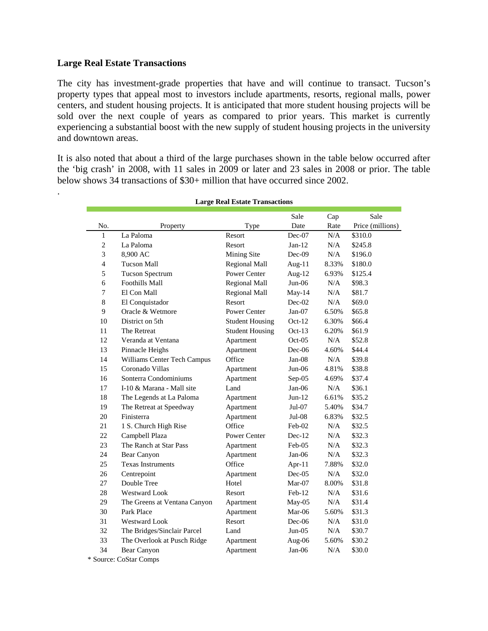#### **Large Real Estate Transactions**

.

The city has investment-grade properties that have and will continue to transact. Tucson's property types that appeal most to investors include apartments, resorts, regional malls, power centers, and student housing projects. It is anticipated that more student housing projects will be sold over the next couple of years as compared to prior years. This market is currently experiencing a substantial boost with the new supply of student housing projects in the university and downtown areas.

It is also noted that about a third of the large purchases shown in the table below occurred after the 'big crash' in 2008, with 11 sales in 2009 or later and 23 sales in 2008 or prior. The table below shows 34 transactions of \$30+ million that have occurred since 2002.

| Large Real Estate Transactions |                              |                        |           |       |                  |
|--------------------------------|------------------------------|------------------------|-----------|-------|------------------|
|                                |                              |                        | Sale      | Cap   | Sale             |
| No.                            | Property                     | Type                   | Date      | Rate  | Price (millions) |
| 1                              | La Paloma                    | Resort                 | $Dec-07$  | N/A   | \$310.0          |
| $\mathbf{2}$                   | La Paloma                    | Resort                 | $Jan-12$  | N/A   | \$245.8          |
| 3                              | 8,900 AC                     | Mining Site            | $Dec-09$  | N/A   | \$196.0          |
| $\overline{4}$                 | <b>Tucson Mall</b>           | Regional Mall          | Aug- $11$ | 8.33% | \$180.0          |
| 5                              | <b>Tucson Spectrum</b>       | Power Center           | Aug- $12$ | 6.93% | \$125.4          |
| 6                              | Foothills Mall               | Regional Mall          | $Jun-06$  | N/A   | \$98.3           |
| 7                              | El Con Mall                  | Regional Mall          | May-14    | N/A   | \$81.7           |
| 8                              | El Conquistador              | <b>Resort</b>          | $Dec-02$  | N/A   | \$69.0           |
| 9                              | Oracle & Wetmore             | Power Center           | $Jan-07$  | 6.50% | \$65.8           |
| 10                             | District on 5th              | <b>Student Housing</b> | $Oct-12$  | 6.30% | \$66.4           |
| 11                             | The Retreat                  | <b>Student Housing</b> | $Oct-13$  | 6.20% | \$61.9           |
| 12                             | Veranda at Ventana           | Apartment              | $Oct-05$  | N/A   | \$52.8           |
| 13                             | Pinnacle Heighs              | Apartment              | Dec-06    | 4.60% | \$44.4           |
| 14                             | Williams Center Tech Campus  | Office                 | $Jan-08$  | N/A   | \$39.8           |
| 15                             | Coronado Villas              | Apartment              | $Jun-06$  | 4.81% | \$38.8           |
| 16                             | Sonterra Condominiums        | Apartment              | $Sep-05$  | 4.69% | \$37.4           |
| 17                             | I-10 & Marana - Mall site    | Land                   | $Jan-06$  | N/A   | \$36.1           |
| 18                             | The Legends at La Paloma     | Apartment              | $Jun-12$  | 6.61% | \$35.2           |
| 19                             | The Retreat at Speedway      | Apartment              | $Jul-07$  | 5.40% | \$34.7           |
| 20                             | Finisterra                   | Apartment              | $Jul-08$  | 6.83% | \$32.5           |
| 21                             | 1 S. Church High Rise        | Office                 | Feb-02    | N/A   | \$32.5           |
| 22                             | Campbell Plaza               | <b>Power Center</b>    | $Dec-12$  | N/A   | \$32.3           |
| 23                             | The Ranch at Star Pass       | Apartment              | Feb-05    | N/A   | \$32.3           |
| 24                             | Bear Canyon                  | Apartment              | $Jan-06$  | N/A   | \$32.3           |
| 25                             | <b>Texas Instruments</b>     | Office                 | Apr-11    | 7.88% | \$32.0           |
| 26                             | Centrepoint                  | Apartment              | $Dec-05$  | N/A   | \$32.0           |
| 27                             | Double Tree                  | Hotel                  | Mar-07    | 8.00% | \$31.8           |
| 28                             | <b>Westward Look</b>         | Resort                 | $Feb-12$  | N/A   | \$31.6           |
| 29                             | The Greens at Ventana Canyon | Apartment              | $May-05$  | N/A   | \$31.4           |
| 30                             | Park Place                   | Apartment              | Mar-06    | 5.60% | \$31.3           |
| 31                             | <b>Westward Look</b>         | Resort                 | $Dec-06$  | N/A   | \$31.0           |
| 32                             | The Bridges/Sinclair Parcel  | Land                   | $Jun-05$  | N/A   | \$30.7           |
| 33                             | The Overlook at Pusch Ridge  | Apartment              | Aug-06    | 5.60% | \$30.2           |
| 34                             | Bear Canyon                  | Apartment              | Jan-06    | N/A   | \$30.0           |
| * Source: CoStar Comps         |                              |                        |           |       |                  |

**Large Real Estate Transactions**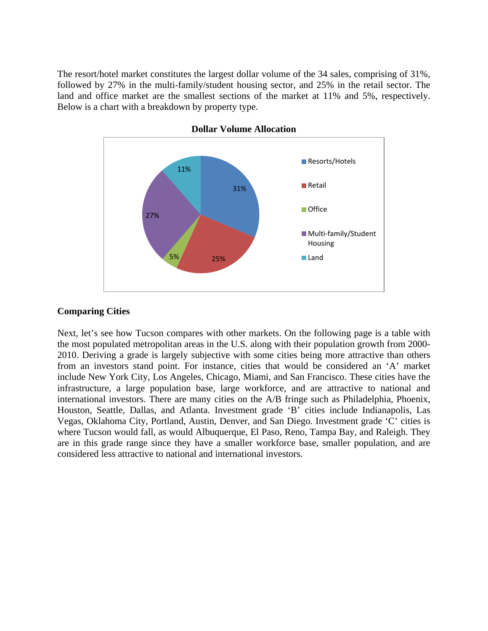The resort/hotel market constitutes the largest dollar volume of the 34 sales, comprising of 31%, followed by 27% in the multi-family/student housing sector, and 25% in the retail sector. The land and office market are the smallest sections of the market at 11% and 5%, respectively. Below is a chart with a breakdown by property type.





# **Comparing Cities**

Next, let's see how Tucson compares with other markets. On the following page is a table with the most populated metropolitan areas in the U.S. along with their population growth from 2000- 2010. Deriving a grade is largely subjective with some cities being more attractive than others from an investors stand point. For instance, cities that would be considered an 'A' market include New York City, Los Angeles, Chicago, Miami, and San Francisco. These cities have the infrastructure, a large population base, large workforce, and are attractive to national and international investors. There are many cities on the A/B fringe such as Philadelphia, Phoenix, Houston, Seattle, Dallas, and Atlanta. Investment grade 'B' cities include Indianapolis, Las Vegas, Oklahoma City, Portland, Austin, Denver, and San Diego. Investment grade 'C' cities is where Tucson would fall, as would Albuquerque, El Paso, Reno, Tampa Bay, and Raleigh. They are in this grade range since they have a smaller workforce base, smaller population, and are considered less attractive to national and international investors.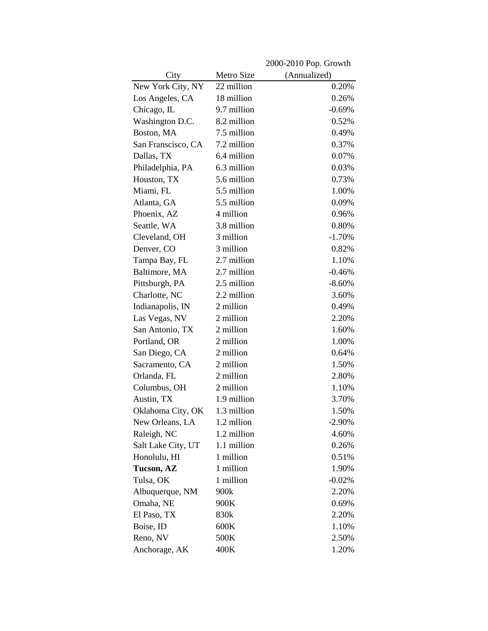|                    |             | 2000-2010 Pop. Growth |
|--------------------|-------------|-----------------------|
| City               | Metro Size  | (Annualized)          |
| New York City, NY  | 22 million  | 0.20%                 |
| Los Angeles, CA    | 18 million  | 0.26%                 |
| Chicago, IL        | 9.7 million | $-0.69%$              |
| Washington D.C.    | 8.2 million | 0.52%                 |
| Boston, MA         | 7.5 million | 0.49%                 |
| San Franscisco, CA | 7.2 million | 0.37%                 |
| Dallas, TX         | 6.4 million | 0.07%                 |
| Philadelphia, PA   | 6.3 million | 0.03%                 |
| Houston, TX        | 5.6 million | 0.73%                 |
| Miami, FL          | 5.5 million | 1.00%                 |
| Atlanta, GA        | 5.5 million | 0.09%                 |
| Phoenix, AZ        | 4 million   | 0.96%                 |
| Seattle, WA        | 3.8 million | 0.80%                 |
| Cleveland, OH      | 3 million   | $-1.70%$              |
| Denver, CO         | 3 million   | 0.82%                 |
| Tampa Bay, FL      | 2.7 million | 1.10%                 |
| Baltimore, MA      | 2.7 million | $-0.46%$              |
| Pittsburgh, PA     | 2.5 million | $-8.60%$              |
| Charlotte, NC      | 2.2 million | 3.60%                 |
| Indianapolis, IN   | 2 million   | 0.49%                 |
| Las Vegas, NV      | 2 million   | 2.20%                 |
| San Antonio, TX    | 2 million   | 1.60%                 |
| Portland, OR       | 2 million   | 1.00%                 |
| San Diego, CA      | 2 million   | 0.64%                 |
| Sacramento, CA     | 2 million   | 1.50%                 |
| Orlanda, FL        | 2 million   | 2.80%                 |
| Columbus, OH       | 2 million   | 1.10%                 |
| Austin, TX         | 1.9 million | 3.70%                 |
| Oklahoma City, OK  | 1.3 million | 1.50%                 |
| New Orleans, LA    | 1.2 mllion  | $-2.90\%$             |
| Raleigh, NC        | 1.2 million | 4.60%                 |
| Salt Lake City, UT | 1.1 million | 0.26%                 |
| Honolulu, HI       | 1 million   | 0.51%                 |
| <b>Tucson, AZ</b>  | 1 million   | 1.90%                 |
| Tulsa, OK          | 1 million   | $-0.02%$              |
| Albuquerque, NM    | 900k        | 2.20%                 |
| Omaha, NE          | 900K        | 0.69%                 |
| El Paso, TX        | 830k        | 2.20%                 |
| Boise, ID          | 600K        | 1.10%                 |
| Reno, NV           | 500K        | 2.50%                 |
| Anchorage, AK      | 400K        | 1.20%                 |